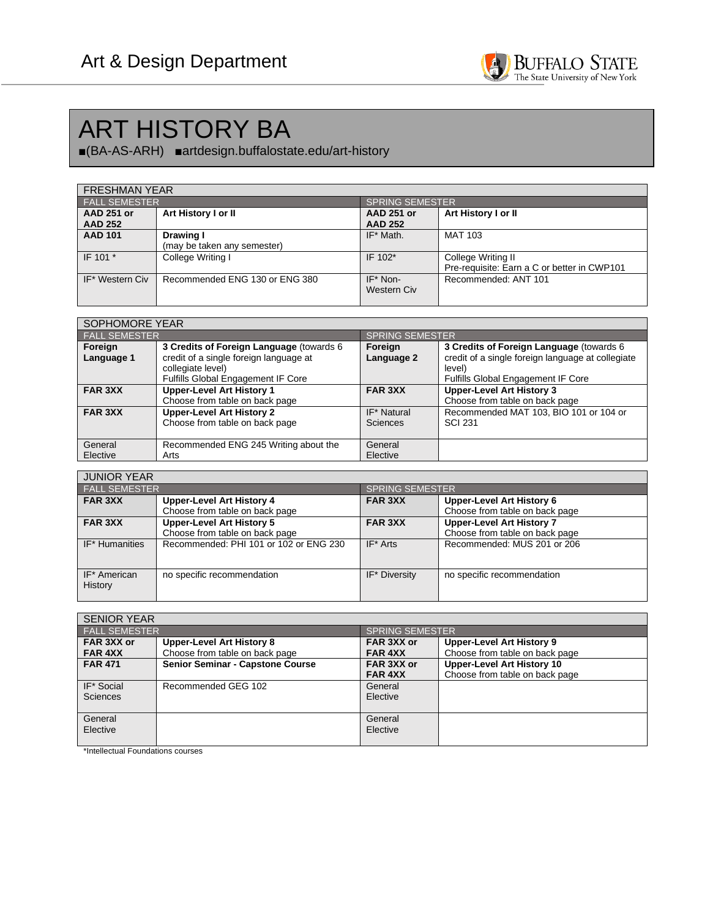

## ART HISTORY BA

■(BA-AS-ARH) ■artdesign.buffalostate.edu/art-history

| <b>FRESHMAN YEAR</b> |                                |                   |                                             |  |
|----------------------|--------------------------------|-------------------|---------------------------------------------|--|
| <b>FALL SEMESTER</b> |                                |                   | <b>SPRING SEMESTER</b>                      |  |
| <b>AAD 251 or</b>    | Art History I or II            | <b>AAD 251 or</b> | Art History I or II                         |  |
| <b>AAD 252</b>       |                                | <b>AAD 252</b>    |                                             |  |
| <b>AAD 101</b>       | Drawing I                      | IF* Math.         | <b>MAT 103</b>                              |  |
|                      | (may be taken any semester)    |                   |                                             |  |
| IF 101 *             | College Writing I              | IF 102*           | College Writing II                          |  |
|                      |                                |                   | Pre-requisite: Earn a C or better in CWP101 |  |
| IF* Western Civ      | Recommended ENG 130 or ENG 380 | IF* Non-          | Recommended: ANT 101                        |  |
|                      |                                | Western Civ       |                                             |  |
|                      |                                |                   |                                             |  |

| SOPHOMORE YEAR        |                                                                                                                                                      |                         |                                                                                                                                               |
|-----------------------|------------------------------------------------------------------------------------------------------------------------------------------------------|-------------------------|-----------------------------------------------------------------------------------------------------------------------------------------------|
| <b>FALL SEMESTER</b>  |                                                                                                                                                      | <b>SPRING SEMESTER</b>  |                                                                                                                                               |
| Foreign<br>Language 1 | 3 Credits of Foreign Language (towards 6<br>credit of a single foreign language at<br>collegiate level)<br><b>Fulfills Global Engagement IF Core</b> | Foreign<br>Language 2   | 3 Credits of Foreign Language (towards 6<br>credit of a single foreign language at collegiate<br>level)<br>Fulfills Global Engagement IF Core |
| <b>FAR 3XX</b>        | <b>Upper-Level Art History 1</b><br>Choose from table on back page                                                                                   | <b>FAR 3XX</b>          | <b>Upper-Level Art History 3</b><br>Choose from table on back page                                                                            |
| <b>FAR 3XX</b>        | <b>Upper-Level Art History 2</b><br>Choose from table on back page                                                                                   | IF* Natural<br>Sciences | Recommended MAT 103, BIO 101 or 104 or<br><b>SCI 231</b>                                                                                      |
| General<br>Elective   | Recommended ENG 245 Writing about the<br>Arts                                                                                                        | General<br>Elective     |                                                                                                                                               |

| <b>JUNIOR YEAR</b>      |                                        |                        |                                  |
|-------------------------|----------------------------------------|------------------------|----------------------------------|
| <b>FALL SEMESTER</b>    |                                        | <b>SPRING SEMESTER</b> |                                  |
| <b>FAR 3XX</b>          | <b>Upper-Level Art History 4</b>       | <b>FAR 3XX</b>         | Upper-Level Art History 6        |
|                         | Choose from table on back page         |                        | Choose from table on back page   |
| FAR 3XX                 | <b>Upper-Level Art History 5</b>       | FAR 3XX                | <b>Upper-Level Art History 7</b> |
|                         | Choose from table on back page         |                        | Choose from table on back page   |
| IF* Humanities          | Recommended: PHI 101 or 102 or ENG 230 | $IF* Arts$             | Recommended: MUS 201 or 206      |
| IF* American<br>History | no specific recommendation             | IF* Diversity          | no specific recommendation       |

| <b>SENIOR YEAR</b>            |                                                                    |                              |                                                                     |
|-------------------------------|--------------------------------------------------------------------|------------------------------|---------------------------------------------------------------------|
| <b>FALL SEMESTER</b>          |                                                                    | <b>SPRING SEMESTER</b>       |                                                                     |
| FAR 3XX or<br><b>FAR 4XX</b>  | <b>Upper-Level Art History 8</b><br>Choose from table on back page | FAR 3XX or<br><b>FAR 4XX</b> | <b>Upper-Level Art History 9</b><br>Choose from table on back page  |
| <b>FAR 471</b>                | <b>Senior Seminar - Capstone Course</b>                            | FAR 3XX or<br><b>FAR 4XX</b> | <b>Upper-Level Art History 10</b><br>Choose from table on back page |
| IF* Social<br><b>Sciences</b> | Recommended GEG 102                                                | General<br>Elective          |                                                                     |
| General<br>Elective           |                                                                    | General<br>Elective          |                                                                     |

\*Intellectual Foundations courses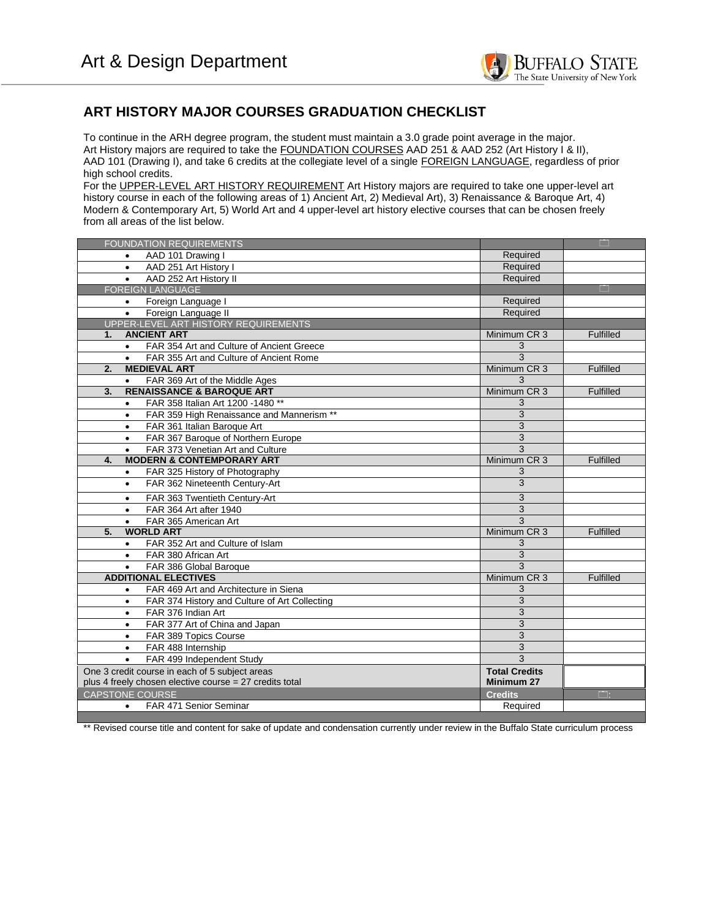

## **ART HISTORY MAJOR COURSES GRADUATION CHECKLIST**

To continue in the ARH degree program, the student must maintain a 3.0 grade point average in the major. Art History majors are required to take the FOUNDATION COURSES AAD 251 & AAD 252 (Art History I & II), AAD 101 (Drawing I), and take 6 credits at the collegiate level of a single FOREIGN LANGUAGE, regardless of prior high school credits.

For the UPPER-LEVEL ART HISTORY REQUIREMENT Art History majors are required to take one upper-level art history course in each of the following areas of 1) Ancient Art, 2) Medieval Art), 3) Renaissance & Baroque Art, 4) Modern & Contemporary Art, 5) World Art and 4 upper-level art history elective courses that can be chosen freely from all areas of the list below.

| <b>FOUNDATION REQUIREMENTS</b>                             |                      | m                |
|------------------------------------------------------------|----------------------|------------------|
| AAD 101 Drawing I                                          | Required             |                  |
| AAD 251 Art History I<br>$\bullet$                         | Required             |                  |
| AAD 252 Art History II<br>$\bullet$                        | Required             |                  |
| <b>FOREIGN LANGUAGE</b>                                    |                      | m                |
| Foreign Language I<br>$\bullet$                            | Required             |                  |
| Foreign Language II<br>$\bullet$                           | Required             |                  |
| UPPER-LEVEL ART HISTORY REQUIREMENTS                       |                      |                  |
| <b>ANCIENT ART</b><br>1.                                   | Minimum CR 3         | <b>Fulfilled</b> |
| FAR 354 Art and Culture of Ancient Greece<br>$\bullet$     | 3                    |                  |
| FAR 355 Art and Culture of Ancient Rome<br>$\bullet$       | 3                    |                  |
| 2.<br><b>MEDIEVAL ART</b>                                  | Minimum CR 3         | <b>Fulfilled</b> |
| FAR 369 Art of the Middle Ages<br>$\bullet$                | 3                    |                  |
| <b>RENAISSANCE &amp; BAROQUE ART</b><br>$\overline{3}$ .   | Minimum CR 3         | <b>Fulfilled</b> |
| FAR 358 Italian Art 1200 -1480 **<br>$\bullet$             | 3                    |                  |
| FAR 359 High Renaissance and Mannerism **<br>$\bullet$     | 3                    |                  |
| FAR 361 Italian Baroque Art<br>$\bullet$                   | 3                    |                  |
| FAR 367 Baroque of Northern Europe<br>$\bullet$            | 3                    |                  |
| FAR 373 Venetian Art and Culture<br>$\bullet$              | 3                    |                  |
| <b>MODERN &amp; CONTEMPORARY ART</b><br>4.                 | Minimum CR 3         | Fulfilled        |
| FAR 325 History of Photography<br>$\bullet$                | 3                    |                  |
| FAR 362 Nineteenth Century-Art<br>$\bullet$                | 3                    |                  |
| FAR 363 Twentieth Century-Art<br>$\bullet$                 | 3                    |                  |
| FAR 364 Art after 1940<br>$\bullet$                        | 3                    |                  |
| FAR 365 American Art<br>$\bullet$                          | 3                    |                  |
| 5.<br><b>WORLD ART</b>                                     | Minimum CR 3         | <b>Fulfilled</b> |
| FAR 352 Art and Culture of Islam<br>$\bullet$              | 3                    |                  |
| FAR 380 African Art<br>$\bullet$                           | 3                    |                  |
| FAR 386 Global Baroque<br>$\bullet$                        | 3                    |                  |
| <b>ADDITIONAL ELECTIVES</b>                                | Minimum CR 3         | <b>Fulfilled</b> |
| FAR 469 Art and Architecture in Siena<br>$\bullet$         | 3                    |                  |
| FAR 374 History and Culture of Art Collecting<br>$\bullet$ | 3                    |                  |
| FAR 376 Indian Art<br>$\bullet$                            | 3                    |                  |
| FAR 377 Art of China and Japan<br>$\bullet$                | 3                    |                  |
| FAR 389 Topics Course<br>$\bullet$                         | 3                    |                  |
| FAR 488 Internship<br>$\bullet$                            | 3                    |                  |
| FAR 499 Independent Study<br>$\bullet$                     | 3                    |                  |
| One 3 credit course in each of 5 subject areas             | <b>Total Credits</b> |                  |
| plus 4 freely chosen elective course = 27 credits total    | Minimum 27           |                  |
| <b>CAPSTONE COURSE</b>                                     | <b>Credits</b>       | $\Box$ :         |
| FAR 471 Senior Seminar<br>$\bullet$                        | Required             |                  |

\*\* Revised course title and content for sake of update and condensation currently under review in the Buffalo State curriculum process